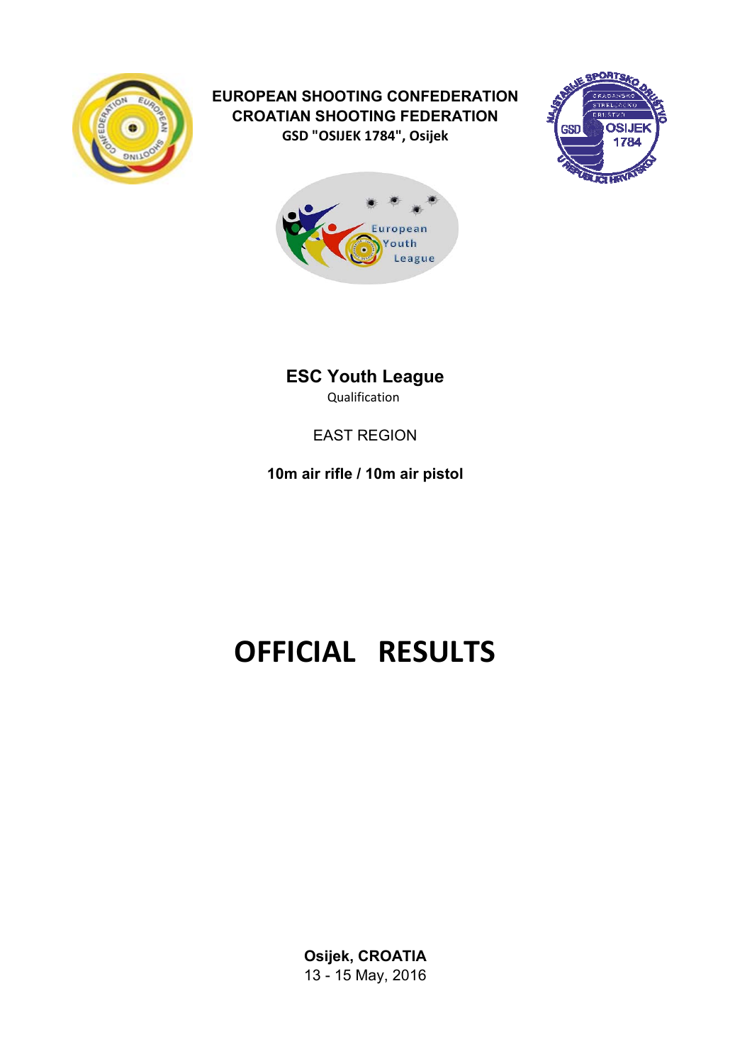

# **EUROPEAN SHOOTING CONFEDERATION CROATIAN SHOOTING FEDERATION GSD "OSIJEK 1784", Osijek**





**ESC Youth League** Qualification

# EAST REGION

**10m air rifle / 10m air pistol**

# **OFFICIAL RESULTS**

**Osijek, CROATIA** 13 - 15 May, 2016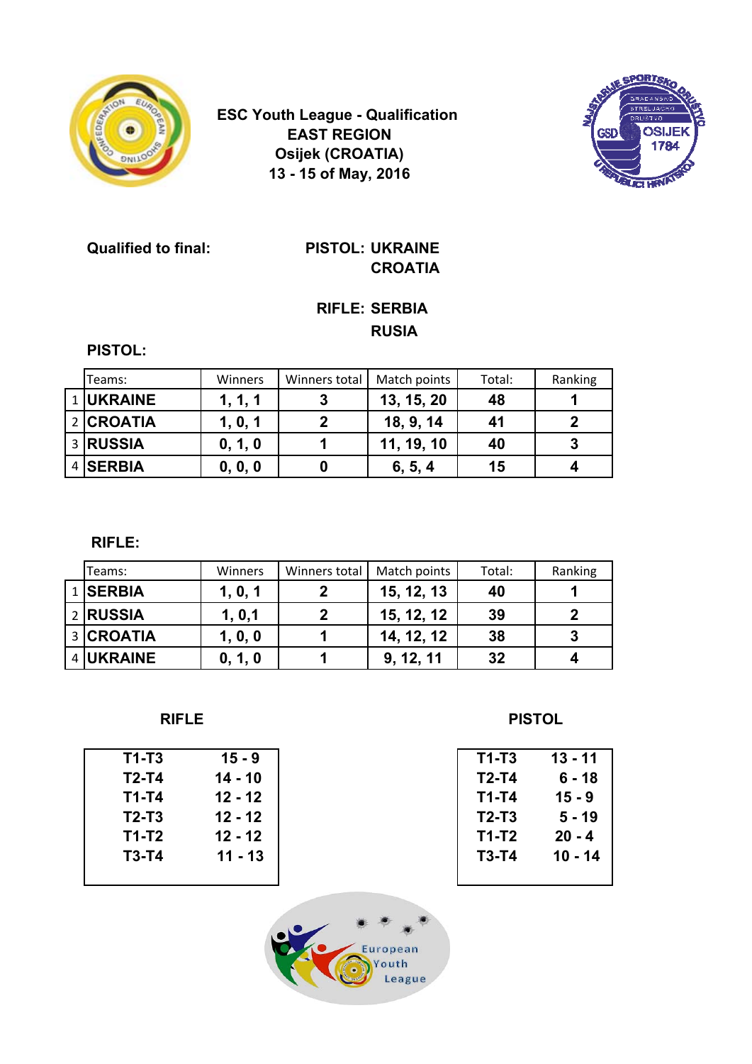

**ESC Youth League - Qualification EAST REGION Osijek (CROATIA) 13 - 15 of May, 2016**



**Qualified to final: PISTOL: UKRAINE**

# **CROATIA**

## **RIFLE: SERBIA RUSIA**

**PISTOL:**

| Teams:    | <b>Winners</b> | Winners total | Match points | Total: | Ranking |
|-----------|----------------|---------------|--------------|--------|---------|
| 1 UKRAINE | 1, 1, 1        |               | 13, 15, 20   | 48     |         |
| 2 CROATIA | 1, 0, 1        |               | 18, 9, 14    | 41     |         |
| 3 RUSSIA  | 0, 1, 0        |               | 11, 19, 10   | 40     | 3       |
| 4 SERBIA  | 0, 0, 0        |               | 6, 5, 4      | 15     |         |

 **RIFLE:**

| Teams:    | <b>Winners</b> | Winners total | Match points | Total: | Ranking |
|-----------|----------------|---------------|--------------|--------|---------|
| 1 SERBIA  | 1, 0, 1        |               | 15, 12, 13   | 40     |         |
| 2 RUSSIA  | 1, 0, 1        |               | 15, 12, 12   | 39     |         |
| 3 CROATIA | 1, 0, 0        |               | 14, 12, 12   | 38     |         |
| 4 UKRAINE | 0, 1, 0        |               | 9, 12, 11    | 32     |         |

| $T1-T3$ | $15 - 9$  | $T1-T3$ | $13 - 11$ |
|---------|-----------|---------|-----------|
| $T2-T4$ | $14 - 10$ | $T2-T4$ | $6 - 18$  |
| $T1-T4$ | $12 - 12$ | T1-T4   | $15 - 9$  |
| $T2-T3$ | $12 - 12$ | $T2-T3$ | $5 - 19$  |
| $T1-T2$ | $12 - 12$ | T1-T2   | $20 - 4$  |
| $T3-T4$ | $11 - 13$ | $T3-T4$ | $10 - 14$ |
|         |           |         |           |
|         |           |         |           |

**RIFLE** PISTOL

| T1-T3 | 13 - 11  |
|-------|----------|
| T2-T4 | 6 - 18   |
| T1-T4 | 15 - 9   |
| T2-T3 | 5 - 19   |
| T1-T2 | $20 - 4$ |
| T3-T4 | 10 - 14  |
|       |          |

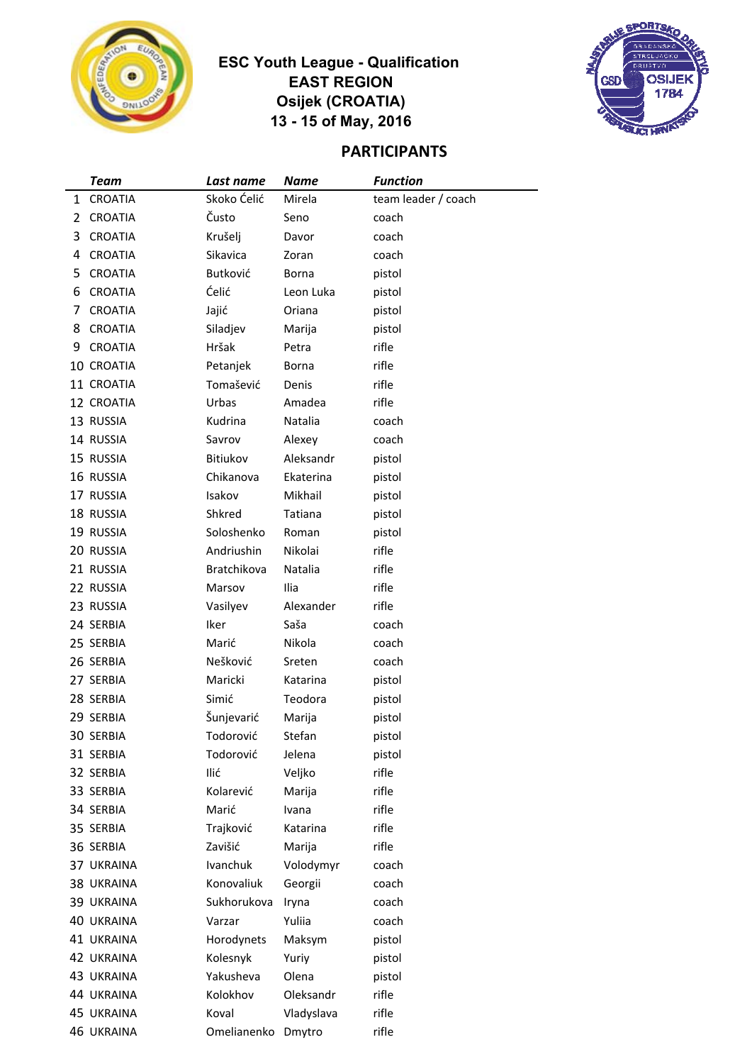

### **ESC Youth League - Qualification EAST REGION Osijek (CROATIA) 13 - 15 of May, 2016**



# **PARTICIPANTS**

|   | <b>Team</b>       | Last name   | Name       | <b>Function</b>     |
|---|-------------------|-------------|------------|---------------------|
| 1 | <b>CROATIA</b>    | Skoko Ćelić | Mirela     | team leader / coach |
| 2 | <b>CROATIA</b>    | Čusto       | Seno       | coach               |
| 3 | <b>CROATIA</b>    | Krušelj     | Davor      | coach               |
| 4 | <b>CROATIA</b>    | Sikavica    | Zoran      | coach               |
| 5 | <b>CROATIA</b>    | Butković    | Borna      | pistol              |
| 6 | <b>CROATIA</b>    | Ćelić       | Leon Luka  | pistol              |
| 7 | <b>CROATIA</b>    | Jajić       | Oriana     | pistol              |
| 8 | <b>CROATIA</b>    | Siladjev    | Marija     | pistol              |
| 9 | <b>CROATIA</b>    | Hršak       | Petra      | rifle               |
|   | 10 CROATIA        | Petanjek    | Borna      | rifle               |
|   | 11 CROATIA        | Tomašević   | Denis      | rifle               |
|   | 12 CROATIA        | Urbas       | Amadea     | rifle               |
|   | 13 RUSSIA         | Kudrina     | Natalia    | coach               |
|   | 14 RUSSIA         | Savrov      | Alexey     | coach               |
|   | 15 RUSSIA         | Bitiukov    | Aleksandr  | pistol              |
|   | 16 RUSSIA         | Chikanova   | Ekaterina  | pistol              |
|   | 17 RUSSIA         | Isakov      | Mikhail    | pistol              |
|   | 18 RUSSIA         | Shkred      | Tatiana    | pistol              |
|   | 19 RUSSIA         | Soloshenko  | Roman      | pistol              |
|   | 20 RUSSIA         | Andriushin  | Nikolai    | rifle               |
|   | 21 RUSSIA         | Bratchikova | Natalia    | rifle               |
|   | 22 RUSSIA         | Marsov      | Ilia       | rifle               |
|   | 23 RUSSIA         | Vasilyev    | Alexander  | rifle               |
|   | 24 SERBIA         | Iker        | Saša       | coach               |
|   | 25 SERBIA         | Marić       | Nikola     | coach               |
|   | 26 SERBIA         | Nešković    | Sreten     | coach               |
|   | 27 SERBIA         | Maricki     | Katarina   | pistol              |
|   | 28 SERBIA         | Simić       | Teodora    | pistol              |
|   | 29 SERBIA         | Šunjevarić  | Marija     | pistol              |
|   | 30 SERBIA         | Todorović   | Stefan     | pistol              |
|   | 31 SERBIA         | Todorović   | Jelena     | pistol              |
|   | 32 SERBIA         | Ilić        | Veljko     | rifle               |
|   | 33 SERBIA         | Kolarević   | Marija     | rifle               |
|   | 34 SERBIA         | Marić       | Ivana      | rifle               |
|   | 35 SERBIA         | Trajković   | Katarina   | rifle               |
|   | 36 SERBIA         | Zavišić     | Marija     | rifle               |
|   | 37 UKRAINA        | Ivanchuk    | Volodymyr  | coach               |
|   | 38 UKRAINA        | Konovaliuk  | Georgii    | coach               |
|   | 39 UKRAINA        | Sukhorukova | Iryna      | coach               |
|   | 40 UKRAINA        | Varzar      | Yuliia     | coach               |
|   | 41 UKRAINA        | Horodynets  | Maksym     | pistol              |
|   | 42 UKRAINA        | Kolesnyk    | Yuriy      | pistol              |
|   | 43 UKRAINA        | Yakusheva   | Olena      | pistol              |
|   | 44 UKRAINA        | Kolokhov    | Oleksandr  | rifle               |
|   | 45 UKRAINA        | Koval       | Vladyslava | rifle               |
|   | <b>46 UKRAINA</b> | Omelianenko | Dmytro     | rifle               |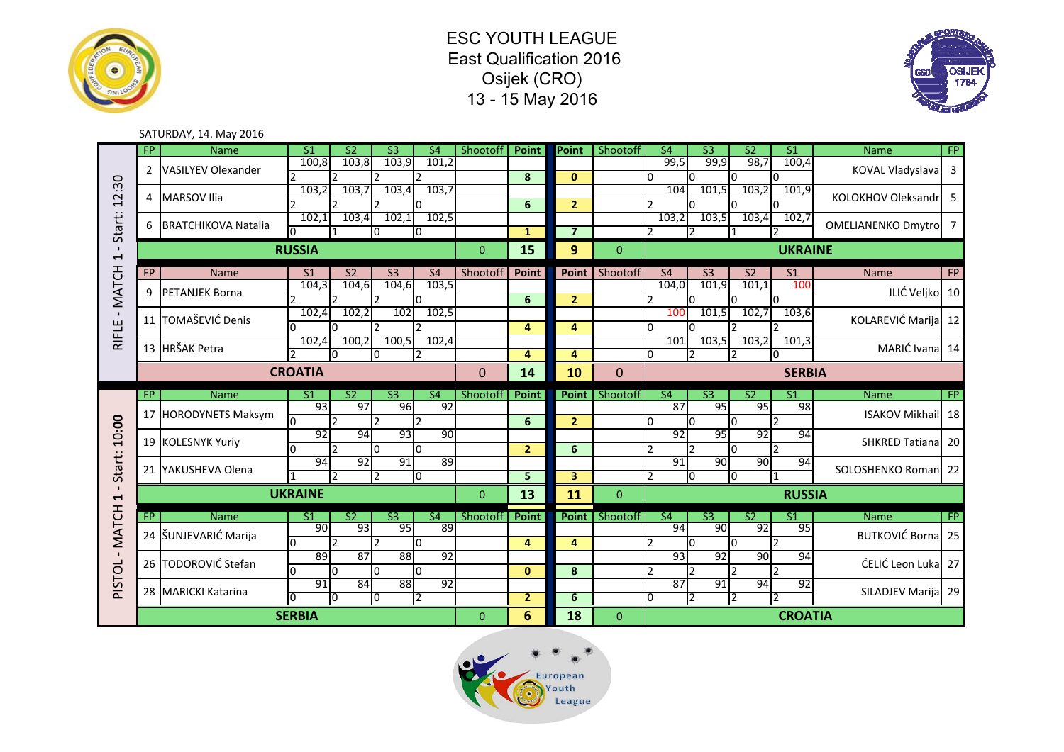





#### SATURDAY, 14. May 2016

|                                         | $\overline{FP}$ | <b>Name</b>                | S <sub>1</sub>       | $\overline{S2}$          | S <sub>3</sub>         | <b>S4</b>                | Shootoff | Point               | Point                   | Shootoff       | <b>S4</b>                        | S <sub>3</sub>         | <b>S2</b>       | $\overline{S1}$          | Name                       | <b>FP</b> |
|-----------------------------------------|-----------------|----------------------------|----------------------|--------------------------|------------------------|--------------------------|----------|---------------------|-------------------------|----------------|----------------------------------|------------------------|-----------------|--------------------------|----------------------------|-----------|
|                                         | $\overline{2}$  | <b>VASILYEV Olexander</b>  | 100,8                | 103,8<br>$\mathcal{P}$   | 103,9                  | 101,2                    |          | 8                   | $\mathbf{0}$            |                | 99,5<br>0                        | 99,9<br>l0             | 98,7            | 100,4<br>l0              | KOVAL Vladyslava 3         |           |
| 2:30                                    | 4               | <b>MARSOV Ilia</b>         | 103,2                | 103,7                    | 103,4                  | 103.7                    |          |                     |                         |                | 104                              | 101,5                  | 103,2           | 101,9                    | KOLOKHOV Oleksandr         | .5        |
| $\overline{ }$                          |                 |                            | 102,1                | $\mathcal{D}$<br>103,4   | 102,1                  | ŋ<br>102,5               |          | 6                   | 2 <sup>1</sup>          |                | C<br>103,2                       | 103,5                  | 103,4           | 102,7                    |                            |           |
| Start:                                  | 6               | <b>BRATCHIKOVA Natalia</b> |                      |                          |                        | I0                       |          | $\mathbf{1}$        | $\overline{\mathbf{z}}$ |                | 2                                | $\overline{2}$         |                 |                          | <b>OMELIANENKO Dmytro</b>  |           |
| $\blacksquare$<br>$\blacktriangleright$ |                 |                            | <b>RUSSIA</b>        |                          |                        |                          | $\Omega$ | 15                  | 9                       | $\Omega$       |                                  |                        |                 | <b>UKRAINE</b>           |                            |           |
|                                         | FP              | <b>Name</b>                | S <sub>1</sub>       | S <sub>2</sub>           | S <sub>3</sub>         | <b>S4</b>                | Shootoff | Point               | Point                   | Shootoff       | <b>S4</b>                        | S <sub>3</sub>         | S <sub>2</sub>  | S <sub>1</sub>           | Name                       | <b>FP</b> |
| - MATCH                                 | 9               | <b>PETANJEK Borna</b>      | 104,3                | 104,6                    | 104,6                  | 103,5                    |          |                     |                         |                | 104,0                            | 101,9                  | 101,1           | 100                      | ILIĆ Veljko 10             |           |
|                                         |                 |                            | 102,4                | 2<br>102,2               | 102                    | 0<br>102,5               |          | 6                   | $\overline{2}$          |                | 2<br>100                         | l0<br>101,5            | 102,7           | IО<br>103,6              |                            |           |
| RIFLE                                   | 11              | TOMAŠEVIĆ Denis            | <sup>0</sup>         | <sup>0</sup>             | $\mathcal{P}$          | っ                        |          | 4                   | 4                       |                | 0                                | n                      | ำ               | $\overline{2}$           | KOLAREVIĆ Marija 12        |           |
|                                         |                 | 13 HRŠAK Petra             | 102,4                | 100,2                    | 100,5                  | 102,4                    |          |                     |                         |                | 101                              | 103,5                  | 103,2           | 101,3                    | MARIĆ Ivana 14             |           |
|                                         |                 |                            |                      | IO.                      |                        |                          |          | $\overline{a}$      | $\overline{4}$          |                | 0                                |                        |                 | I٥                       |                            |           |
|                                         |                 |                            | <b>CROATIA</b>       |                          |                        |                          | $\Omega$ | 14                  | 10                      | $\Omega$       |                                  |                        |                 | <b>SERBIA</b>            |                            |           |
|                                         |                 |                            |                      |                          |                        |                          |          |                     |                         |                |                                  |                        |                 |                          |                            |           |
|                                         | FP              | <b>Name</b>                | S <sub>1</sub>       | $\overline{S2}$          | S <sub>3</sub>         | <b>S4</b>                | Shootoff | <b>Point</b>        | Point                   | Shootoff       | <b>S4</b>                        | $\overline{\text{S3}}$ | $\overline{S2}$ | $\overline{\mathsf{S}1}$ | <b>Name</b>                | FP        |
|                                         | 17              | <b>HORODYNETS Maksym</b>   | 93                   | 97                       | 96                     | 92                       |          |                     |                         |                | 87                               | 95                     | 95              | $\overline{98}$          | <b>ISAKOV Mikhail 18</b>   |           |
|                                         |                 |                            | $\Omega$             | $\overline{\phantom{a}}$ |                        |                          |          | 6                   | $\overline{2}$          |                | $\Omega$                         | <sup>0</sup>           | n               |                          |                            |           |
| 10:00                                   |                 | 19 KOLESNYK Yuriy          | 92<br><sup>0</sup>   | 94<br>$\mathcal{P}$      | 93<br>I0               | 90<br>$\Omega$           |          | $\overline{2}$      | 6                       |                | $\overline{92}$<br>$\mathcal{P}$ | 95<br>$\overline{2}$   | 92<br>I٥        | 94<br>12                 | <b>SHKRED Tatianal 201</b> |           |
|                                         |                 |                            | 94                   | $\overline{92}$          | 91                     | 89                       |          |                     |                         |                | 91                               | 90                     | 90              | 94                       |                            |           |
| Start:                                  | 21              | YAKUSHEVA Olena            |                      | 2                        | $\overline{2}$         | O                        |          | 5                   | 3                       |                | 2                                | O                      | I٥              | $\overline{1}$           | SOLOSHENKO Roman 22        |           |
| $\blacksquare$<br>$\blacktriangleright$ |                 |                            | <b>UKRAINE</b>       |                          |                        |                          | $\Omega$ | 13                  | 11                      | $\Omega$       |                                  |                        |                 | <b>RUSSIA</b>            |                            |           |
|                                         | FP              | <b>Name</b>                | S <sub>1</sub>       | $\overline{S2}$          | $\overline{\text{S3}}$ | $\overline{\mathsf{S4}}$ | Shootoff | <b>Point</b>        | <b>Point</b>            | Shootoff       | $\overline{\mathsf{S4}}$         | $\overline{\text{S3}}$ | S <sub>2</sub>  | $\overline{S1}$          | <b>Name</b>                | FP        |
|                                         | 24              | ŠUNJEVARIĆ Marija          | 90                   | 93                       | 95                     | 89                       |          |                     |                         |                | 94                               | 90                     | 92              | 95                       | BUTKOVIĆ Borna 25          |           |
| <b>MATCH</b><br>$\blacksquare$          |                 |                            | n.                   | $\overline{2}$           |                        | $\Omega$                 |          | 4                   | $\overline{4}$          |                | $\mathfrak{p}$                   | <sup>0</sup>           | l0              | $\overline{2}$           |                            |           |
|                                         |                 | 26 TODOROVIĆ Stefan        | 89<br>$\overline{0}$ | 87<br>l0                 | 88<br>l0               | 92<br>0                  |          | $\mathbf{0}$        | 8                       |                | 93<br>$\mathcal{P}$              | 92                     | 90              | 94                       | ĆELIĆ Leon Luka   27       |           |
|                                         |                 | 28 MARICKI Katarina        | 91                   | 84                       | 88                     | 92                       |          |                     |                         |                | $\overline{87}$                  | 91                     | 94              | 92                       | SILADJEV Marija 29         |           |
| PISTOL                                  |                 |                            | O<br><b>SERBIA</b>   | I0                       | 10                     | 2                        | $\Omega$ | $\overline{2}$<br>6 | 6<br>18                 | $\overline{0}$ | 0                                | 2                      | 12              | 2<br><b>CROATIA</b>      |                            |           |

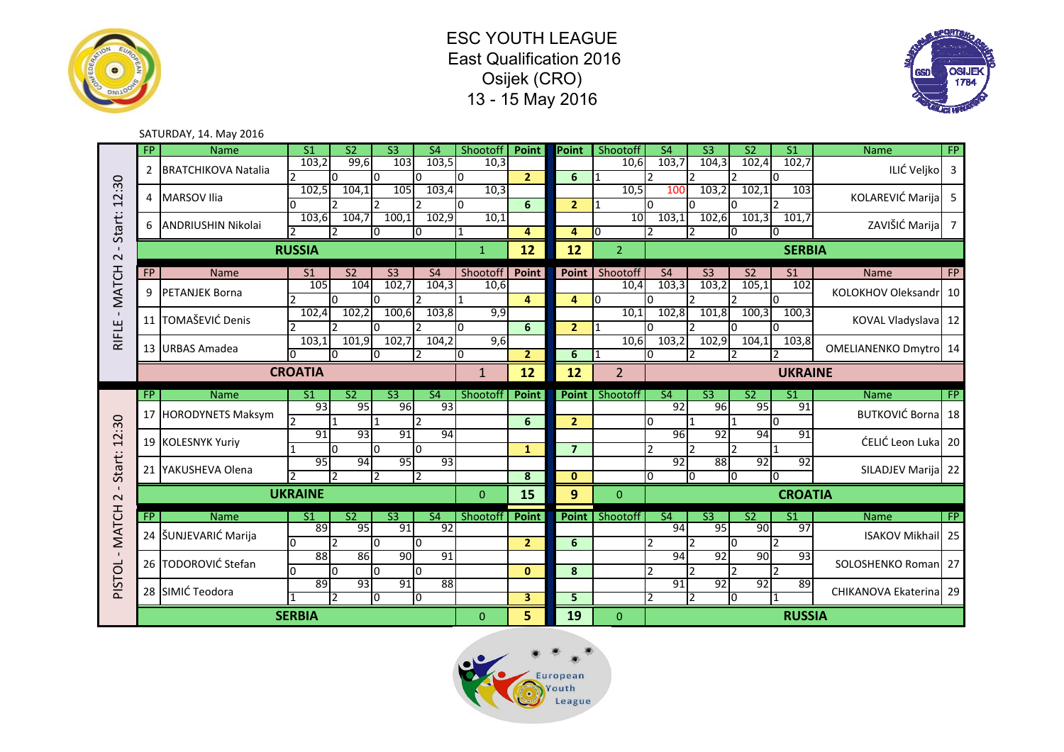





#### SATURDAY, 14. May 2016

|                  | FP.            | <b>Name</b>                | S <sub>1</sub>         | S <sub>2</sub>  | $\overline{\text{S3}}$ | $\overline{\mathsf{S}4}$ | Shootoff     | Point                   | Point          | Shootoff               | <b>S4</b>                | $\overline{\text{S3}}$ | $\overline{S2}$       | $\overline{S1}$      | <b>Name</b>                  | <b>FP</b>      |
|------------------|----------------|----------------------------|------------------------|-----------------|------------------------|--------------------------|--------------|-------------------------|----------------|------------------------|--------------------------|------------------------|-----------------------|----------------------|------------------------------|----------------|
| 2:30<br>1        | $\overline{2}$ | <b>BRATCHIKOVA Natalia</b> | 103,2                  | 99,6            | 103                    | 103,5                    | 10,3         |                         |                | 10,6                   | 103,7                    | 104,3                  | 102,4                 | 102,7                | ILIĆ Veljko                  | $\overline{3}$ |
|                  |                |                            | 102,5                  | l0<br>104.1     | n.<br>105              | l0<br>103,4              | 10<br>10,3   | $\overline{2}$          | 6              | 10,5                   | 100                      | 103,2                  | 102,1                 | 0<br>103             |                              |                |
|                  | 4              | <b>MARSOV Ilia</b>         | n                      |                 |                        |                          | l0.          | 6                       | 2 <sup>1</sup> |                        | l0                       |                        | n                     | $\mathcal{P}$        | <b>KOLAREVIĆ Marija</b>      | 5              |
| Start:           | 6              | <b>ANDRIUSHIN Nikolai</b>  | 103,6                  | 104,7           | 100,1                  | 102,9                    | 10,1         |                         |                | 10                     | 103,1                    | 102,6                  | 101,3                 | 101,7                | ZAVIŠIĆ Marija               | -7             |
|                  | 12<br>n.<br>10 |                            |                        |                 |                        |                          | l 1          | 4                       | 4              | 0                      | I0<br><sup>0</sup>       |                        |                       |                      |                              |                |
| $\sim$           |                |                            | <b>RUSSIA</b>          |                 |                        |                          | $\mathbf{1}$ | 12                      | 12             | $\overline{2}$         |                          |                        |                       | <b>SERBIA</b>        |                              |                |
|                  | FP             | <b>Name</b>                | S <sub>1</sub>         | S <sub>2</sub>  | S <sub>3</sub>         | <b>S4</b>                | Shootoff     | Point                   | Point          | Shootoff               | <b>S4</b>                | S <sub>3</sub>         | S <sub>2</sub>        | S <sub>1</sub>       | <b>Name</b>                  | FP             |
| <b>MATCH</b>     | 9              | <b>PETANJEK Borna</b>      | 105                    | 104             | 102,7                  | 104,3                    | 10,6         |                         |                | 10,4                   | 103,3                    | 103,2                  | 105,1                 | 102                  | KOLOKHOV Oleksandr           | 10             |
|                  |                |                            |                        | l0              |                        |                          |              | $\overline{a}$          | $\overline{a}$ | 10                     | IΩ                       |                        |                       | $\overline{0}$       |                              |                |
| $\mathbf{I}$     | 11             | TOMAŠEVIĆ Denis            | 102.4<br>$\mathcal{P}$ | 102,2<br>12     | 100,6<br>n             | 103,8<br>$\mathbf{D}$    | 9,9<br>I٥    | 6                       | $\overline{2}$ | 10,1<br>$\overline{1}$ | 102,8<br>n.              | 101,8                  | 100.3<br><sup>0</sup> | 100,3<br>n.          | KOVAL Vladyslava 12          |                |
| RIFLE            |                |                            | 103,1                  | 101,9           | 102,7                  | 104,2                    | 9,6          |                         |                | 10,6                   | 103,2                    | 102,9                  | 104,1                 | 103,8                |                              |                |
|                  |                | 13 URBAS Amadea            | $\overline{0}$         | l0              | n.                     |                          | I0           | $\overline{2}$          | 6              |                        | I۵                       |                        |                       |                      | <b>OMELIANENKO Dmytro</b> 14 |                |
|                  |                |                            | <b>CROATIA</b>         |                 |                        |                          | $\mathbf{1}$ | 12                      | 12             | $\overline{2}$         |                          |                        |                       | <b>UKRAINE</b>       |                              |                |
|                  |                |                            |                        |                 |                        |                          |              |                         |                |                        |                          |                        |                       |                      |                              |                |
|                  |                |                            | S <sub>1</sub>         | $\overline{S2}$ | $\overline{\text{S3}}$ | $\overline{\mathsf{S4}}$ |              |                         |                |                        | $\overline{S4}$          | $\overline{\text{S3}}$ | S <sub>2</sub>        | $\overline{S1}$      |                              |                |
|                  | FP             | <b>Name</b>                | 93                     | 95              | 96                     | 93                       | Shootoff     | <b>Point</b>            | Point          | Shootoff               | 92                       | 96                     | 95                    | 91                   | <b>Name</b>                  | FP             |
|                  |                | 17 HORODYNETS Maksym       |                        |                 |                        |                          |              | 6                       | $\overline{2}$ |                        | I٥                       |                        |                       | l0.                  | <b>BUTKOVIĆ Borna</b> 18     |                |
| $\ddot{30}$      |                | 19 KOLESNYK Yuriy          | $\overline{91}$        | 93              | 91                     | 94                       |              |                         |                |                        | $\overline{96}$          | 92                     | 94                    | $\overline{91}$      | ĆELIĆ Leon Luka              | 20             |
| $\overline{2}$   |                |                            |                        | I٥              | l0                     | I٥                       |              | $\mathbf{1}$            | $\overline{7}$ |                        | $\overline{2}$           | $\overline{2}$         | $\mathfrak{p}$        | $\mathbf{1}$         |                              |                |
|                  |                | 21 YAKUSHEVA Olena         | 95                     | 94<br>2         | 95<br><b>2</b>         | 93<br>I2                 |              | $\overline{\mathbf{8}}$ | $\bf{0}$       |                        | 92<br>I٥                 | 88<br>IО               | 92<br>lO              | $\overline{92}$<br>n | SILADJEV Marija              | 22             |
| Start:<br>$\sim$ |                |                            | <b>UKRAINE</b>         |                 |                        |                          | $\Omega$     | 15                      | 9              | $\Omega$               |                          |                        |                       | <b>CROATIA</b>       |                              |                |
|                  |                | <b>Name</b>                | $\overline{S1}$        | $\overline{S2}$ | $\overline{\text{S3}}$ | $\overline{\mathsf{S4}}$ | Shootoff     |                         | Point          | Shootoff               | $\overline{\mathsf{S4}}$ | $\overline{\text{S3}}$ | $\overline{S2}$       | $\overline{S1}$      | <b>Name</b>                  | FP             |
|                  | FP             |                            | 89                     | 95              | 91                     | 92                       |              | <b>Point</b>            |                |                        | 94                       | 95                     | 90                    | $\overline{97}$      |                              |                |
| <b>MATCH</b>     |                | 24 ŠUNJEVARIĆ Marija       | I٥                     | $\overline{2}$  | $\Omega$               | I٥                       |              | $\overline{2}$          | 6              |                        | $\overline{2}$           |                        | <sup>0</sup>          | $\mathcal{P}$        | <b>ISAKOV Mikhail 25</b>     |                |
| $\mathbf{I}$     |                | 26 TODOROVIĆ Stefan        | 88                     | 86              | 90                     | 91                       |              |                         |                |                        | 94                       | 92                     | 90                    | 93                   | SOLOSHENKO Roman 27          |                |
|                  |                |                            | l0<br>89               | $\Omega$<br>93  | l0<br>91               | I0<br>88                 |              | $\mathbf{0}$            | 8              |                        | $\mathfrak{p}$<br>91     | 92                     | C<br>92               | $\mathcal{P}$<br>89  |                              |                |
| PISTOL           |                | 28 SIMIĆ Teodora           |                        | 2               | 10                     | 10                       |              | 3                       | 5              |                        |                          | $\overline{2}$         | 10                    | $\mathbf{1}$         | CHIKANOVA Ekaterina 29       |                |

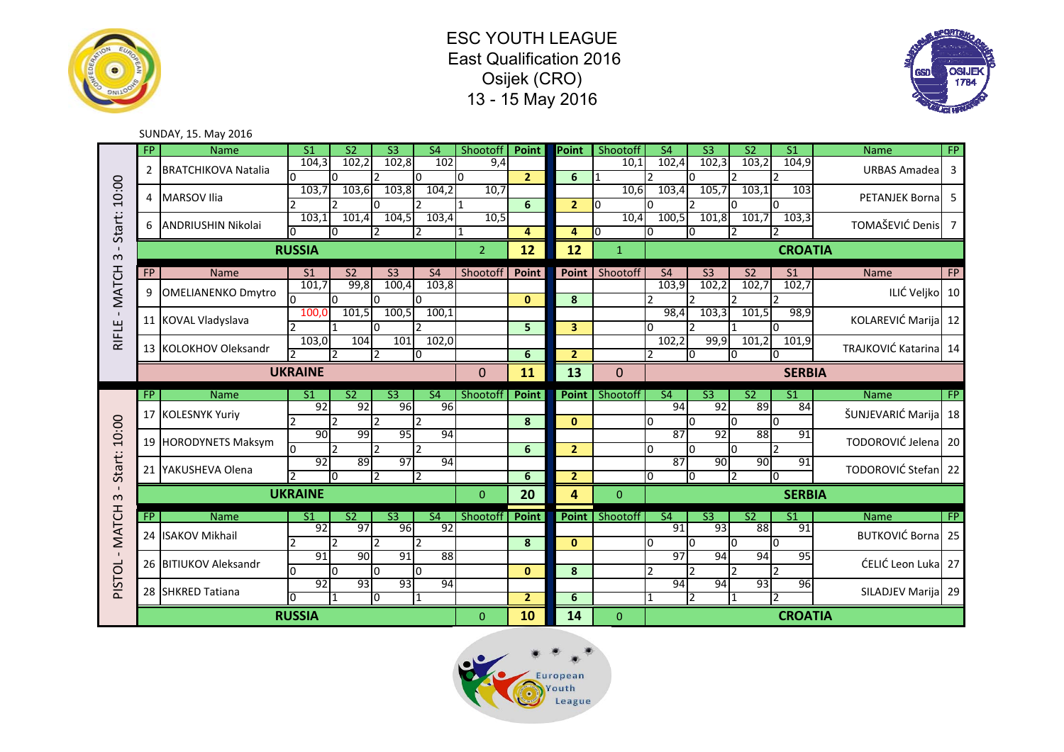ESC YOUTH LEAGUE East Qualification 2016 Osijek (CRO) 13 - 15 May 2016





#### SUNDAY, 15. May 2016

|              | FP             | <b>Name</b>                | S <sub>1</sub>      | S <sub>2</sub>       | S <sub>3</sub>         | <b>S4</b>                | Shootoff            | Point                | Point          | Shootoff               | <b>S4</b>                | $\overline{\mathsf{S3}}$ | $\overline{\text{S2}}$ | $\overline{S1}$                  | <b>Name</b>              | FP        |
|--------------|----------------|----------------------------|---------------------|----------------------|------------------------|--------------------------|---------------------|----------------------|----------------|------------------------|--------------------------|--------------------------|------------------------|----------------------------------|--------------------------|-----------|
| 10:00        | $\overline{2}$ | <b>BRATCHIKOVA Natalia</b> | 104,3               | 102,2<br>I٥          | 102,8                  | 102<br>I٥                | 9,4<br><sup>0</sup> | 2 <sup>1</sup>       | 6              | 10.1<br>$\overline{1}$ | 102.4<br><sup>-</sup>    | 102,3<br>n               | 103,2                  | 104,9<br>$\mathcal{P}$           | URBAS Amadea             | 3         |
|              |                |                            | 103,7               | 103,6                | 103,8                  | 104,2                    | 10,7                |                      |                | 10,6                   | 103,4                    | 105,7                    | 103,1                  | 103                              |                          |           |
|              | 4              | <b>MARSOV Ilia</b>         |                     |                      | n                      |                          | l 1                 | 6                    | 2 <sup>1</sup> | lo                     |                          |                          |                        | n                                | PETANJEK Borna 5         |           |
|              | 6              |                            | 103,1               | 101,4                | 104,5                  | 103,4                    | 10,5                |                      |                | 10,4                   | 100,5                    | 101,8                    | 101,7                  | 103,3                            | TOMAŠEVIĆ Denis 7        |           |
| Start:       |                | <b>ANDRIUSHIN Nikolai</b>  |                     | 10                   |                        |                          |                     | 4                    | 4              | 10                     | 0                        | 0                        |                        |                                  |                          |           |
| $\sim$       |                |                            | <b>RUSSIA</b>       |                      |                        |                          | $\overline{2}$      | 12                   | 12             | $\mathbf{1}$           |                          |                          |                        | <b>CROATIA</b>                   |                          |           |
|              | <b>FP</b>      | <b>Name</b>                | S <sub>1</sub>      | S <sub>2</sub>       | S <sub>3</sub>         | <b>S4</b>                | Shootoff            | Point                | Point          | Shootoff               | S <sub>4</sub>           | S <sub>3</sub>           | S <sub>2</sub>         | S <sub>1</sub>                   | <b>Name</b>              | <b>FP</b> |
| <b>MATCH</b> | 9              | <b>OMELIANENKO Dmytro</b>  | 101,7               | 99,8                 | 100,4                  | 103,8                    |                     |                      |                |                        | 103,9                    | 102,2                    | 102,7                  | 102,7                            | ILIĆ Veljko 10           |           |
|              |                |                            | l0                  | I٥                   | <sup>0</sup>           | I٥                       |                     | $\mathbf{0}$         | 8              |                        | $\mathcal{P}$            | $\overline{2}$           |                        | $\mathcal{P}$                    |                          |           |
| $\mathbf{I}$ |                | 11 KOVAL Vladyslava        | 100.0               | 101,5                | 100,5                  | 100,1                    |                     |                      |                |                        | 98,4                     | 103,3                    | 101,5                  | 98,9                             | KOLAREVIĆ Marija 12      |           |
| RIFLE        |                |                            |                     |                      | n.                     |                          |                     | 5                    | 3 <sup>1</sup> |                        | <sup>0</sup>             |                          |                        | I∩                               |                          |           |
|              |                | 13 KOLOKHOV Oleksandr      | 103,0               | 104<br>$\mathcal{P}$ | 101<br>$\overline{2}$  | 102,0                    |                     | 6                    | 2 <sup>1</sup> |                        | 102,2<br>$\mathfrak{p}$  | 99,9<br>0                | 101,2<br>In            | 101,9<br>I٥                      | TRAJKOVIĆ Katarina 14    |           |
|              |                |                            |                     |                      |                        | IО                       |                     |                      |                |                        | <b>SERBIA</b>            |                          |                        |                                  |                          |           |
|              |                |                            | <b>UKRAINE</b>      |                      |                        |                          | 0                   | 11                   | 13             | $\Omega$               |                          |                          |                        |                                  |                          |           |
|              | FP             | <b>Name</b>                | S1                  | $\overline{S2}$      | $\overline{\text{S3}}$ | $\overline{\mathsf{S4}}$ | Shootoff            | <b>Point</b>         | Point          | Shootoff               | $\overline{\mathsf{S4}}$ | $\overline{\text{S3}}$   | $\overline{S2}$        | S <sub>1</sub>                   | <b>Name</b>              | FP        |
|              |                | 17 KOLESNYK Yuriy          | $\overline{92}$     | $\overline{92}$      | $\overline{96}$        | 96                       |                     |                      |                |                        | $\overline{94}$          | $\overline{92}$          | 89                     | 84                               | ŠUNJEVARIĆ Marija 18     |           |
| 10:00        |                |                            |                     |                      |                        |                          |                     | 8                    | $\mathbf{0}$   |                        | $\Omega$                 | l0                       |                        | I٥                               |                          |           |
|              |                |                            |                     |                      |                        |                          |                     |                      |                |                        |                          |                          |                        |                                  |                          |           |
|              |                |                            | 90                  | 99                   | 95                     | 94                       |                     |                      |                |                        | 87                       | 92                       | 88                     | 91                               |                          |           |
|              |                | 19 HORODYNETS Maksym       | l0                  | $\overline{2}$       | 12                     | $\mathcal{D}$            |                     | 6                    | $\overline{2}$ |                        | $\Omega$                 | <sup>0</sup>             | I٥                     | $\overline{2}$                   | TODOROVIĆ Jelena 20      |           |
|              |                | 21 YAKUSHEVA Olena         | 92                  | 89                   | 97                     | 94                       |                     |                      |                |                        | 87                       | 90                       | 90                     | 91                               | TODOROVIĆ Stefan 22      |           |
| Start:       |                |                            |                     | IО                   | $\overline{2}$         | 2                        |                     | 6                    | $\overline{2}$ |                        | <sup>0</sup>             | 0                        | 12                     | ю                                |                          |           |
| $\sim$       |                |                            | <b>UKRAINE</b>      |                      |                        |                          | $\Omega$            | 20                   | 4              | $\mathbf{0}$           |                          |                          |                        | <b>SERBIA</b>                    |                          |           |
|              | FP             | <b>Name</b>                | S <sub>1</sub>      | $\overline{S2}$      | $\overline{\text{S3}}$ | <b>S4</b>                | Shootoff            | <b>Point</b>         | <b>Point</b>   | Shootoff               | $\overline{\mathsf{S4}}$ | $\overline{\text{S3}}$   | S <sub>2</sub>         | $\overline{S1}$                  | <b>Name</b>              | FP        |
|              |                |                            | 92                  | 97                   | 96                     | 92                       |                     |                      |                |                        | 91                       | 93                       | 88                     | 91                               |                          |           |
| <b>MATCH</b> |                | 24 ISAKOV Mikhail          |                     | $\mathcal{D}$        | $\mathcal{P}$          |                          |                     | 8                    | $\mathbf{0}$   |                        | $\Omega$                 | l0                       |                        | I٥                               | <b>BUTKOVIĆ Borna</b> 25 |           |
| $\mathbf{L}$ |                | 26 BITIUKOV Aleksandr      | 91                  | 90                   | 91                     | 88                       |                     |                      |                |                        | 97                       | 94                       | 94                     | 95                               |                          |           |
|              |                |                            | l0                  | I٥                   | I٥                     | I٥                       |                     | $\mathbf{0}$         | 8              |                        | $\mathfrak z$            |                          |                        |                                  | ĆELIĆ Leon Luka 27       |           |
|              |                | 28 SHKRED Tatiana          | 92                  | 93                   | 93                     | 94                       |                     |                      |                |                        | 94                       | 94                       | 93                     | 96                               | SILADJEV Marija 29       |           |
| PISTOL       |                |                            | 10<br><b>RUSSIA</b> | $\mathbf{1}$         | IО                     | 1                        | $\Omega$            | $\overline{2}$<br>10 | 6<br>14        | $\Omega$               |                          | 2                        | 11                     | $\overline{2}$<br><b>CROATIA</b> |                          |           |